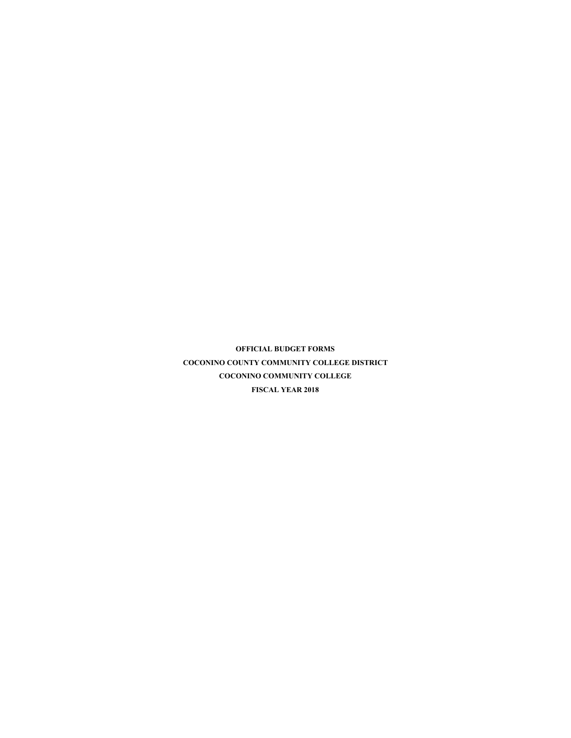**OFFICIAL BUDGET FORMS COCONINO COUNTY COMMUNITY COLLEGE DISTRICT COCONINO COMMUNITY COLLEGE FISCAL YEAR 2018**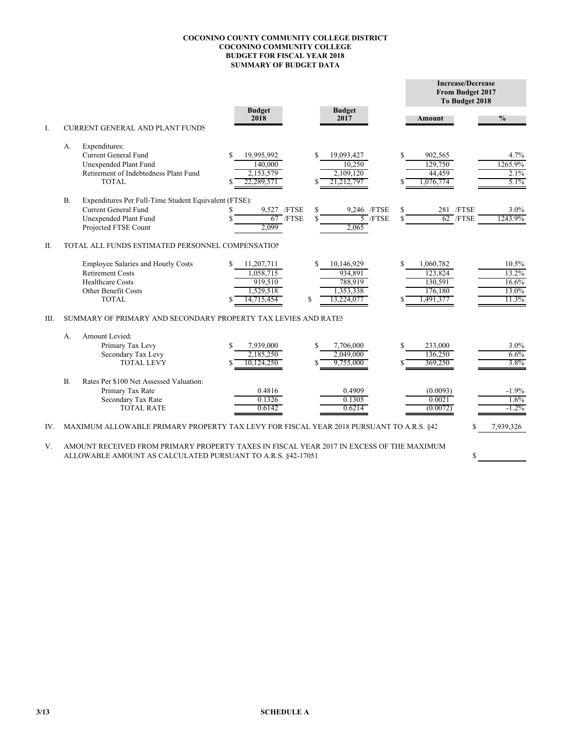## **COCONINO COUNTY COMMUNITY COLLEGE DISTRICT COCONINO COMMUNITY COLLEGE BUDGET FOR FISCAL YEAR 2018 SUMMARY OF BUDGET DATA**

|     |           |                                                                                          |                         |                  |                         |               | <b>Increase/Decrease</b><br>From Budget 2017<br>To Budget 2018 |               |  |  |  |
|-----|-----------|------------------------------------------------------------------------------------------|-------------------------|------------------|-------------------------|---------------|----------------------------------------------------------------|---------------|--|--|--|
|     |           |                                                                                          | <b>Budget</b><br>2018   |                  | <b>Budget</b><br>2017   |               | Amount                                                         | $\frac{0}{0}$ |  |  |  |
| Ι.  |           | <b>CURRENT GENERAL AND PLANT FUNDS</b>                                                   |                         |                  |                         |               |                                                                |               |  |  |  |
|     | А.        | Expenditures:                                                                            |                         |                  |                         |               |                                                                |               |  |  |  |
|     |           | <b>Current General Fund</b>                                                              | 19,995,992<br>S         | S                | 19,093,427              | \$            | 902,565                                                        | 4.7%          |  |  |  |
|     |           | Unexpended Plant Fund<br>Retirement of Indebtedness Plant Fund                           | 140,000                 |                  | 10,250                  |               | 129,750                                                        | 1265.9%       |  |  |  |
|     |           | <b>TOTAL</b>                                                                             | 2,153,579<br>22,289,571 |                  | 2,109,120<br>21,212,797 |               | 44,459<br>1,076,774                                            | 2.1%<br>5.1%  |  |  |  |
|     | <b>B.</b> | Expenditures Per Full-Time Student Equivalent (FTSE):                                    |                         |                  |                         |               |                                                                |               |  |  |  |
|     |           | <b>Current General Fund</b>                                                              |                         | 9.527 /FTSE<br>S | 9.246 /FTSE             | \$            | 281 /FTSE                                                      | 3.0%          |  |  |  |
|     |           | Unexpended Plant Fund                                                                    |                         | $67$ /FTSE       | $5$ /FTSE               | <sup>\$</sup> | $62$ /FTSE                                                     | 1243.9%       |  |  |  |
|     |           | Projected FTSE Count                                                                     | 2,099                   |                  | 2,065                   |               |                                                                |               |  |  |  |
| II. |           | TOTAL ALL FUNDS ESTIMATED PERSONNEL COMPENSATION                                         |                         |                  |                         |               |                                                                |               |  |  |  |
|     |           | Employee Salaries and Hourly Costs                                                       | 11,207,711<br>S         | S                | 10,146,929              | S.            | 1,060,782                                                      | 10.5%         |  |  |  |
|     |           | <b>Retirement Costs</b>                                                                  | 1,058,715               |                  | 934,891                 |               | 123,824                                                        | 13.2%         |  |  |  |
|     |           | <b>Healthcare Costs</b>                                                                  | 919,510                 |                  | 788,919                 |               | 130,591                                                        | 16.6%         |  |  |  |
|     |           | Other Benefit Costs                                                                      | 1,529,518               |                  | 1,353,338               |               | 176,180                                                        | 13.0%         |  |  |  |
|     |           | <b>TOTAL</b>                                                                             | 14.715.454              | S                | 13,224,077              |               | 1,491,377                                                      | 11.3%         |  |  |  |
| Ш.  |           | SUMMARY OF PRIMARY AND SECONDARY PROPERTY TAX LEVIES AND RATES                           |                         |                  |                         |               |                                                                |               |  |  |  |
|     | A.        | Amount Levied:                                                                           |                         |                  |                         |               |                                                                |               |  |  |  |
|     |           | Primary Tax Levy                                                                         | S<br>7,939,000          | S                | 7,706,000               | \$            | 233,000                                                        | 3.0%          |  |  |  |
|     |           | Secondary Tax Levy                                                                       | 2,185,250               |                  | 2,049,000               |               | 136,250                                                        | 6.6%          |  |  |  |
|     |           | <b>TOTAL LEVY</b>                                                                        | 10.124.250              | S                | 9,755,000               |               | 369,250                                                        | 3.8%          |  |  |  |
|     | B.        | Rates Per \$100 Net Assessed Valuation:                                                  |                         |                  |                         |               |                                                                |               |  |  |  |
|     |           | Primary Tax Rate                                                                         | 0.4816                  |                  | 0.4909                  |               | (0.0093)                                                       | $-1.9%$       |  |  |  |
|     |           | Secondary Tax Rate                                                                       | 0.1326                  |                  | 0.1305                  |               | 0.0021                                                         | 1.6%          |  |  |  |
|     |           | <b>TOTAL RATE</b>                                                                        | 0.6142                  |                  | 0.6214                  |               | (0.0072)                                                       | $-1.2\%$      |  |  |  |
| IV. |           | MAXIMUM ALLOWABLE PRIMARY PROPERTY TAX LEVY FOR FISCAL YEAR 2018 PURSUANT TO A.R.S. \$42 |                         |                  |                         |               | \$                                                             | 7,939,326     |  |  |  |

V. AMOUNT RECEIVED FROM PRIMARY PROPERTY TAXES IN FISCAL YEAR 2017 IN EXCESS OF THE MAXIMUM ALLOWABLE AMOUNT AS CALCULATED PURSUANT TO A.R.S. §42-17051

 $\mathbb S$ 

 **3/13 SCHEDULE A**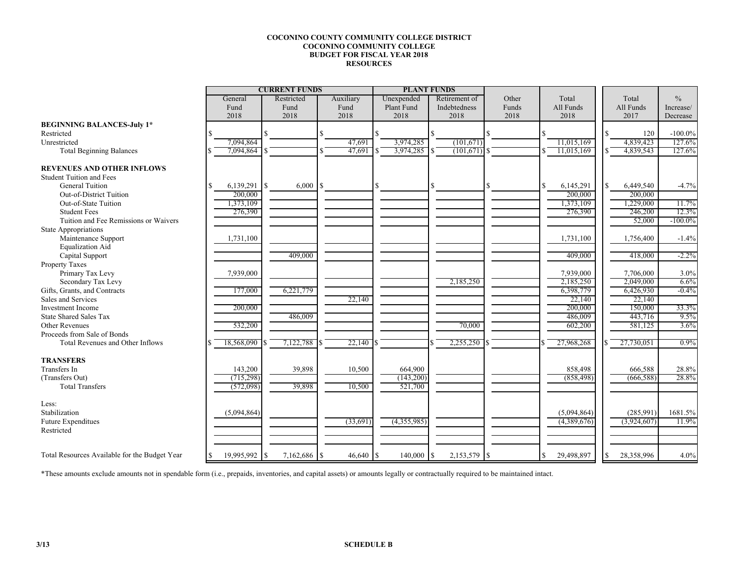## **COCONINO COUNTY COMMUNITY COLLEGE DISTRICT COCONINO COMMUNITY COLLEGE BUDGET FOR FISCAL YEAR 2018 RESOURCES**

|                                                                      |     | <b>CURRENT FUNDS</b> |          |            |      |             | <b>PLANT FUNDS</b> |             |  |               |       |   |             |     |                    |               |
|----------------------------------------------------------------------|-----|----------------------|----------|------------|------|-------------|--------------------|-------------|--|---------------|-------|---|-------------|-----|--------------------|---------------|
|                                                                      |     | General              |          | Restricted |      | Auxiliary   |                    | Unexpended  |  | Retirement of | Other |   | Total       |     | Total              | $\frac{0}{0}$ |
|                                                                      |     | Fund                 |          | Fund       |      | Fund        |                    | Plant Fund  |  | Indebtedness  | Funds |   | All Funds   |     | All Funds          | Increase/     |
|                                                                      |     | 2018                 |          | 2018       |      | 2018        |                    | 2018        |  | 2018          | 2018  |   | 2018        |     | 2017               | Decrease      |
| <b>BEGINNING BALANCES-July 1*</b>                                    |     |                      |          |            |      |             |                    |             |  |               |       |   |             |     |                    |               |
| Restricted                                                           |     |                      |          |            |      |             |                    |             |  |               |       |   |             | S.  | 120                | $-100.0\%$    |
| Unrestricted                                                         |     | 7,094,864            |          |            |      | 47,691      |                    | 3,974,285   |  | (101,671)     |       |   | 11,015,169  |     | 4,839,423          | 127.6%        |
| <b>Total Beginning Balances</b>                                      |     | 7,094,864            |          |            |      | 47,691      |                    | 3,974,285   |  | (101,671)     |       |   | 11,015,169  |     | 4,839,543          | 127.6%        |
|                                                                      |     |                      |          |            |      |             |                    |             |  |               |       |   |             |     |                    |               |
| <b>REVENUES AND OTHER INFLOWS</b><br><b>Student Tuition and Fees</b> |     |                      |          |            |      |             |                    |             |  |               |       |   |             |     |                    |               |
| <b>General Tuition</b>                                               | \$  | 6,139,291            | <b>S</b> | 6,000      | -S   |             | S                  |             |  |               |       | Ś | 6,145,291   | S.  | 6,449,540          | $-4.7%$       |
| Out-of-District Tuition                                              |     | 200,000              |          |            |      |             |                    |             |  |               |       |   | 200,000     |     | 200,000            |               |
| Out-of-State Tuition                                                 |     | 1,373,109            |          |            |      |             |                    |             |  |               |       |   | 1,373,109   |     | 1,229,000          | 11.7%         |
| <b>Student Fees</b>                                                  |     | 276,390              |          |            |      |             |                    |             |  |               |       |   | 276,390     |     | 246,200            | 12.3%         |
| Tuition and Fee Remissions or Waivers                                |     |                      |          |            |      |             |                    |             |  |               |       |   |             |     | 52,000             | $-100.0\%$    |
| <b>State Appropriations</b>                                          |     |                      |          |            |      |             |                    |             |  |               |       |   |             |     |                    |               |
| Maintenance Support                                                  |     | 1,731,100            |          |            |      |             |                    |             |  |               |       |   | 1,731,100   |     | 1,756,400          | $-1.4%$       |
| <b>Equalization Aid</b>                                              |     |                      |          |            |      |             |                    |             |  |               |       |   |             |     |                    |               |
| Capital Support                                                      |     |                      |          | 409,000    |      |             |                    |             |  |               |       |   | 409,000     |     | 418,000            | $-2.2\%$      |
| <b>Property Taxes</b>                                                |     |                      |          |            |      |             |                    |             |  |               |       |   |             |     |                    |               |
| Primary Tax Levy                                                     |     | 7,939,000            |          |            |      |             |                    |             |  |               |       |   | 7,939,000   |     | 7,706,000          | 3.0%          |
| Secondary Tax Levy                                                   |     |                      |          |            |      |             |                    |             |  | 2,185,250     |       |   | 2,185,250   |     | 2,049,000          | $6.6\%$       |
| Gifts, Grants, and Contracts                                         |     | 177,000              |          | 6,221,779  |      |             |                    |             |  |               |       |   | 6,398,779   |     | 6,426,930          | $-0.4\%$      |
| Sales and Services                                                   |     |                      |          |            |      | 22,140      |                    |             |  |               |       |   | 22,140      |     | 22,140             |               |
| <b>Investment Income</b>                                             |     | 200,000              |          |            |      |             |                    |             |  |               |       |   | 200,000     |     | 150,000            | 33.3%         |
| <b>State Shared Sales Tax</b>                                        |     |                      |          | 486,009    |      |             |                    |             |  |               |       |   | 486,009     |     |                    | 9.5%          |
| <b>Other Revenues</b>                                                |     |                      |          |            |      |             |                    |             |  |               |       |   |             |     | 443,716<br>581,125 |               |
| Proceeds from Sale of Bonds                                          |     | 532,200              |          |            |      |             |                    |             |  | 70,000        |       |   | 602,200     |     |                    | 3.6%          |
| Total Revenues and Other Inflows                                     |     |                      |          | 7,122,788  |      | 22,140      |                    |             |  |               |       |   |             |     |                    | $0.9\%$       |
|                                                                      |     | 18,568,090           |          |            |      |             |                    |             |  | 2,255,250     |       |   | 27,968,268  |     | 27,730,051         |               |
| <b>TRANSFERS</b>                                                     |     |                      |          |            |      |             |                    |             |  |               |       |   |             |     |                    |               |
| Transfers In                                                         |     | 143,200              |          | 39,898     |      | 10,500      |                    | 664,900     |  |               |       |   | 858,498     |     | 666,588            | 28.8%         |
| (Transfers Out)                                                      |     | (715,298)            |          |            |      |             |                    | (143,200)   |  |               |       |   | (858, 498)  |     | (666, 588)         | 28.8%         |
| <b>Total Transfers</b>                                               |     | (572,098)            |          | 39,898     |      | 10,500      |                    | 521,700     |  |               |       |   |             |     |                    |               |
| Less:                                                                |     |                      |          |            |      |             |                    |             |  |               |       |   |             |     |                    |               |
| Stabilization                                                        |     | (5,094,864)          |          |            |      |             |                    |             |  |               |       |   | (5,094,864) |     | (285,991)          | 1681.5%       |
| Future Expenditues                                                   |     |                      |          |            |      | (33,691)    |                    | (4,355,985) |  |               |       |   | (4,389,676) |     | (3,924,607)        | 11.9%         |
| Restricted                                                           |     |                      |          |            |      |             |                    |             |  |               |       |   |             |     |                    |               |
|                                                                      |     |                      |          |            |      |             |                    |             |  |               |       |   |             |     |                    |               |
| Total Resources Available for the Budget Year                        | \$. | 19,995,992 \$        |          | 7,162,686  | l \$ | $46,640$ \$ |                    | 140,000 \$  |  | 2,153,579 \$  |       | S | 29,498,897  | \$. | 28,358,996         | 4.0%          |

\*These amounts exclude amounts not in spendable form (i.e., prepaids, inventories, and capital assets) or amounts legally or contractually required to be maintained intact.